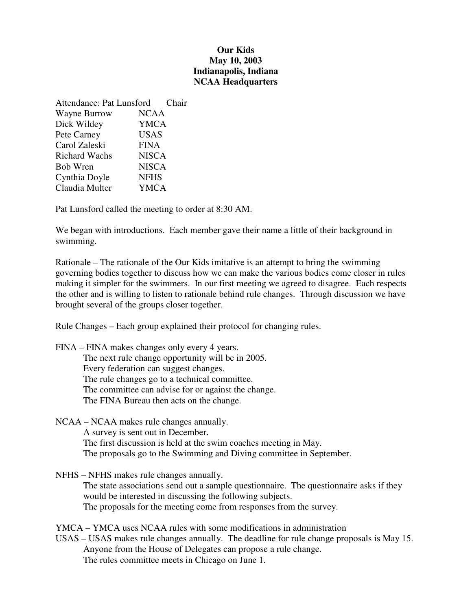## **Our Kids May 10, 2003 Indianapolis, Indiana NCAA Headquarters**

| <b>Attendance: Pat Lunsford</b> |              | Chair |
|---------------------------------|--------------|-------|
| Wayne Burrow                    | <b>NCAA</b>  |       |
| Dick Wildey                     | <b>YMCA</b>  |       |
| Pete Carney                     | <b>USAS</b>  |       |
| Carol Zaleski                   | <b>FINA</b>  |       |
| <b>Richard Wachs</b>            | <b>NISCA</b> |       |
| <b>Bob Wren</b>                 | <b>NISCA</b> |       |
| Cynthia Doyle                   | <b>NFHS</b>  |       |
| Claudia Multer                  | <b>YMCA</b>  |       |

Pat Lunsford called the meeting to order at 8:30 AM.

We began with introductions. Each member gave their name a little of their background in swimming.

Rationale – The rationale of the Our Kids imitative is an attempt to bring the swimming governing bodies together to discuss how we can make the various bodies come closer in rules making it simpler for the swimmers. In our first meeting we agreed to disagree. Each respects the other and is willing to listen to rationale behind rule changes. Through discussion we have brought several of the groups closer together.

Rule Changes – Each group explained their protocol for changing rules.

FINA – FINA makes changes only every 4 years. The next rule change opportunity will be in 2005. Every federation can suggest changes. The rule changes go to a technical committee. The committee can advise for or against the change. The FINA Bureau then acts on the change.

NCAA – NCAA makes rule changes annually. A survey is sent out in December. The first discussion is held at the swim coaches meeting in May. The proposals go to the Swimming and Diving committee in September.

NFHS – NFHS makes rule changes annually. The state associations send out a sample questionnaire. The questionnaire asks if they would be interested in discussing the following subjects. The proposals for the meeting come from responses from the survey.

YMCA – YMCA uses NCAA rules with some modifications in administration

USAS – USAS makes rule changes annually. The deadline for rule change proposals is May 15. Anyone from the House of Delegates can propose a rule change. The rules committee meets in Chicago on June 1.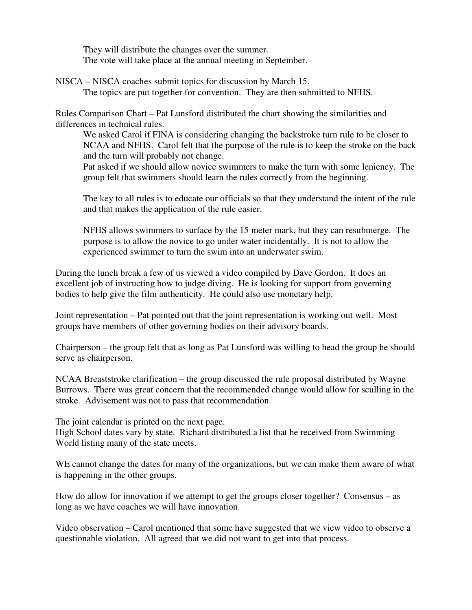They will distribute the changes over the summer. The vote will take place at the annual meeting in September.

NISCA – NISCA coaches submit topics for discussion by March 15. The topics are put together for convention. They are then submitted to NFHS.

Rules Comparison Chart – Pat Lunsford distributed the chart showing the similarities and differences in technical rules.

We asked Carol if FINA is considering changing the backstroke turn rule to be closer to NCAA and NFHS. Carol felt that the purpose of the rule is to keep the stroke on the back and the turn will probably not change.

Pat asked if we should allow novice swimmers to make the turn with some leniency. The group felt that swimmers should learn the rules correctly from the beginning.

The key to all rules is to educate our officials so that they understand the intent of the rule and that makes the application of the rule easier.

NFHS allows swimmers to surface by the 15 meter mark, but they can resubmerge. The purpose is to allow the novice to go under water incidentally. It is not to allow the experienced swimmer to turn the swim into an underwater swim.

During the lunch break a few of us viewed a video compiled by Dave Gordon. It does an excellent job of instructing how to judge diving. He is looking for support from governing bodies to help give the film authenticity. He could also use monetary help.

Joint representation – Pat pointed out that the joint representation is working out well. Most groups have members of other governing bodies on their advisory boards.

Chairperson – the group felt that as long as Pat Lunsford was willing to head the group he should serve as chairperson.

NCAA Breaststroke clarification – the group discussed the rule proposal distributed by Wayne Burrows. There was great concern that the recommended change would allow for sculling in the stroke. Advisement was not to pass that recommendation.

The joint calendar is printed on the next page.

High School dates vary by state. Richard distributed a list that he received from Swimming World listing many of the state meets.

WE cannot change the dates for many of the organizations, but we can make them aware of what is happening in the other groups.

How do allow for innovation if we attempt to get the groups closer together? Consensus – as long as we have coaches we will have innovation.

Video observation – Carol mentioned that some have suggested that we view video to observe a questionable violation. All agreed that we did not want to get into that process.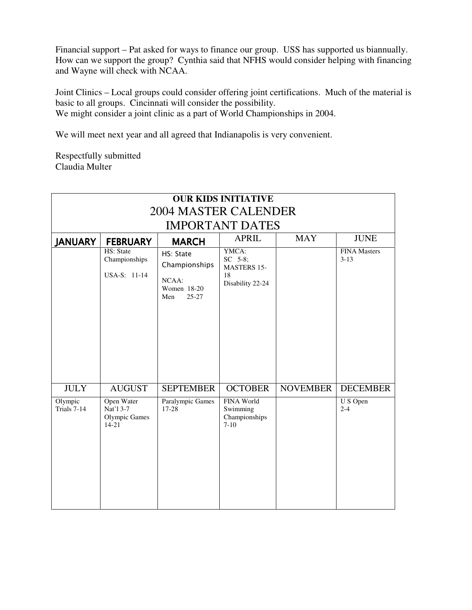Financial support – Pat asked for ways to finance our group. USS has supported us biannually. How can we support the group? Cynthia said that NFHS would consider helping with financing and Wayne will check with NCAA.

Joint Clinics – Local groups could consider offering joint certifications. Much of the material is basic to all groups. Cincinnati will consider the possibility. We might consider a joint clinic as a part of World Championships in 2004.

We will meet next year and all agreed that Indianapolis is very convenient.

Respectfully submitted Claudia Multer

| <b>OUR KIDS INITIATIVE</b><br><b>2004 MASTER CALENDER</b> |                                                              |                                                                        |                                                                  |                 |                                 |  |  |
|-----------------------------------------------------------|--------------------------------------------------------------|------------------------------------------------------------------------|------------------------------------------------------------------|-----------------|---------------------------------|--|--|
| <b>IMPORTANT DATES</b>                                    |                                                              |                                                                        |                                                                  |                 |                                 |  |  |
| <b>JANUARY</b>                                            | <b>FEBRUARY</b>                                              | <b>MARCH</b>                                                           | <b>APRIL</b>                                                     | <b>MAY</b>      | <b>JUNE</b>                     |  |  |
|                                                           | HS: State<br>Championships<br>USA-S: 11-14                   | HS: State<br>Championships<br>NCAA:<br>Women 18-20<br>$25 - 27$<br>Men | YMCA:<br>SC 5-8;<br><b>MASTERS 15-</b><br>18<br>Disability 22-24 |                 | <b>FINA Masters</b><br>$3 - 13$ |  |  |
| <b>JULY</b>                                               | <b>AUGUST</b>                                                | <b>SEPTEMBER</b>                                                       | <b>OCTOBER</b>                                                   | <b>NOVEMBER</b> | <b>DECEMBER</b>                 |  |  |
| Olympic<br>Trials 7-14                                    | Open Water<br>Nat'l 3-7<br><b>Olympic Games</b><br>$14 - 21$ | Paralympic Games<br>17-28                                              | <b>FINA World</b><br>Swimming<br>Championships<br>$7 - 10$       |                 | U S Open<br>$2 - 4$             |  |  |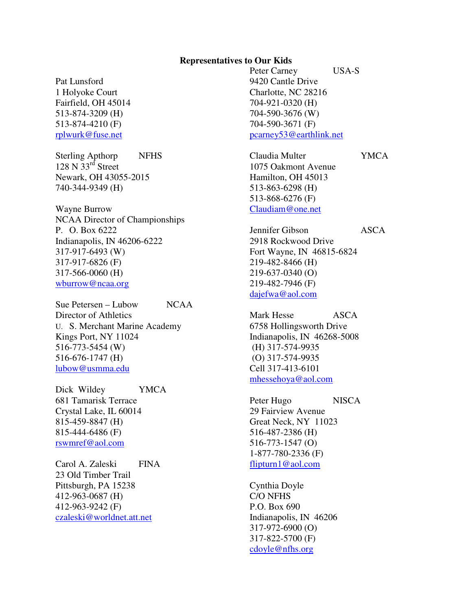## **Representatives to Our Kids**

Pat Lunsford 1 Holyoke Court Fairfield, OH 45014 513-874-3209 (H) 513-874-4210 (F) rplwurk@fuse.net

Sterling Apthorp NFHS  $128$  N  $33<sup>rd</sup>$  Street Newark, OH 43055-2015 740-344-9349 (H)

Wayne Burrow NCAA Director of Championships P. O. Box 6222 Indianapolis, IN 46206-6222 317-917-6493 (W) 317-917-6826 (F) 317-566-0060 (H) wburrow@ncaa.org

Sue Petersen – Lubow NCAA Director of Athletics U. S. Merchant Marine Academy Kings Port, NY 11024 516-773-5454 (W) 516-676-1747 (H) lubow@usmma.edu

Dick Wildey YMCA 681 Tamarisk Terrace Crystal Lake, IL 60014 815-459-8847 (H) 815-444-6486 (F) rswmref@aol.com

Carol A. Zaleski FINA 23 Old Timber Trail Pittsburgh, PA 15238 412-963-0687 (H) 412-963-9242 (F) czaleski@worldnet.att.net

Peter Carney USA-S 9420 Cantle Drive Charlotte, NC 28216 704-921-0320 (H) 704-590-3676 (W) 704-590-3671 (F) pcarney53@earthlink.net

Claudia Multer YMCA 1075 Oakmont Avenue Hamilton, OH 45013 513-863-6298 (H) 513-868-6276 (F) Claudiam@one.net

Jennifer Gibson ASCA 2918 Rockwood Drive Fort Wayne, IN 46815-6824 219-482-8466 (H) 219-637-0340 (O) 219-482-7946 (F) dajefwa@aol.com

Mark Hesse ASCA 6758 Hollingsworth Drive Indianapolis, IN 46268-5008 (H) 317-574-9935 (O) 317-574-9935 Cell 317-413-6101 mhessehoya@aol.com

Peter Hugo NISCA 29 Fairview Avenue Great Neck, NY 11023 516-487-2386 (H) 516-773-1547 (O) 1-877-780-2336 (F) flipturn1@aol.com

Cynthia Doyle C/O NFHS P.O. Box 690 Indianapolis, IN 46206 317-972-6900 (O) 317-822-5700 (F) cdoyle@nfhs.org